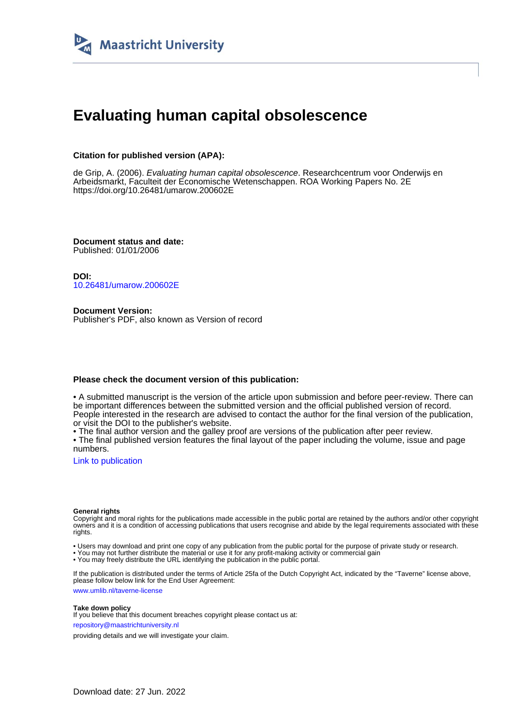

# **Evaluating human capital obsolescence**

#### **Citation for published version (APA):**

de Grip, A. (2006). Evaluating human capital obsolescence. Researchcentrum voor Onderwijs en Arbeidsmarkt, Faculteit der Economische Wetenschappen. ROA Working Papers No. 2E <https://doi.org/10.26481/umarow.200602E>

**Document status and date:** Published: 01/01/2006

**DOI:** [10.26481/umarow.200602E](https://doi.org/10.26481/umarow.200602E)

**Document Version:** Publisher's PDF, also known as Version of record

#### **Please check the document version of this publication:**

• A submitted manuscript is the version of the article upon submission and before peer-review. There can be important differences between the submitted version and the official published version of record. People interested in the research are advised to contact the author for the final version of the publication, or visit the DOI to the publisher's website.

• The final author version and the galley proof are versions of the publication after peer review.

• The final published version features the final layout of the paper including the volume, issue and page numbers.

[Link to publication](https://cris.maastrichtuniversity.nl/en/publications/245655aa-b178-4a4c-a247-b5e6bf0fd324)

#### **General rights**

Copyright and moral rights for the publications made accessible in the public portal are retained by the authors and/or other copyright owners and it is a condition of accessing publications that users recognise and abide by the legal requirements associated with these rights.

• Users may download and print one copy of any publication from the public portal for the purpose of private study or research.

• You may not further distribute the material or use it for any profit-making activity or commercial gain

• You may freely distribute the URL identifying the publication in the public portal.

If the publication is distributed under the terms of Article 25fa of the Dutch Copyright Act, indicated by the "Taverne" license above, please follow below link for the End User Agreement:

www.umlib.nl/taverne-license

#### **Take down policy**

If you believe that this document breaches copyright please contact us at: repository@maastrichtuniversity.nl

providing details and we will investigate your claim.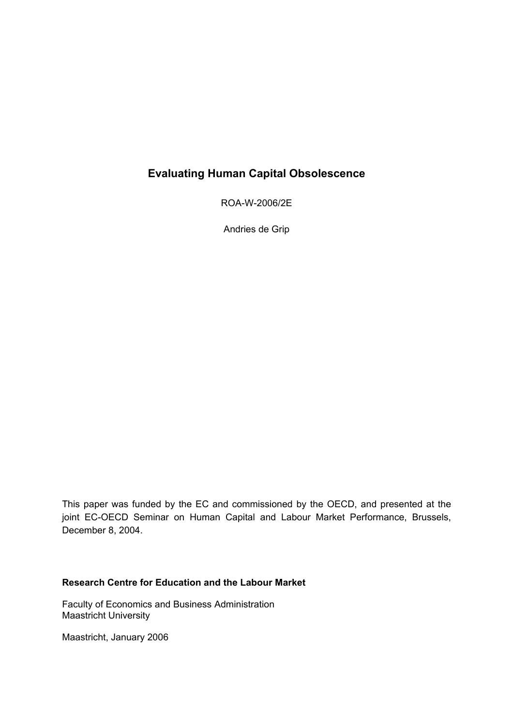## **Evaluating Human Capital Obsolescence**

ROA-W-2006/2E

Andries de Grip

This paper was funded by the EC and commissioned by the OECD, and presented at the joint EC-OECD Seminar on Human Capital and Labour Market Performance, Brussels, December 8, 2004.

### **Research Centre for Education and the Labour Market**

Faculty of Economics and Business Administration Maastricht University

Maastricht, January 2006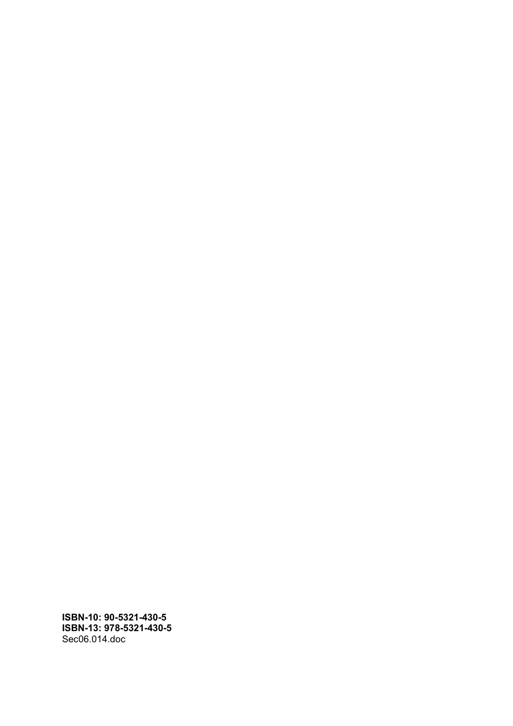**ISBN-10: 90-5321-430-5 ISBN-13: 978-5321-430-5**  Sec06.014.doc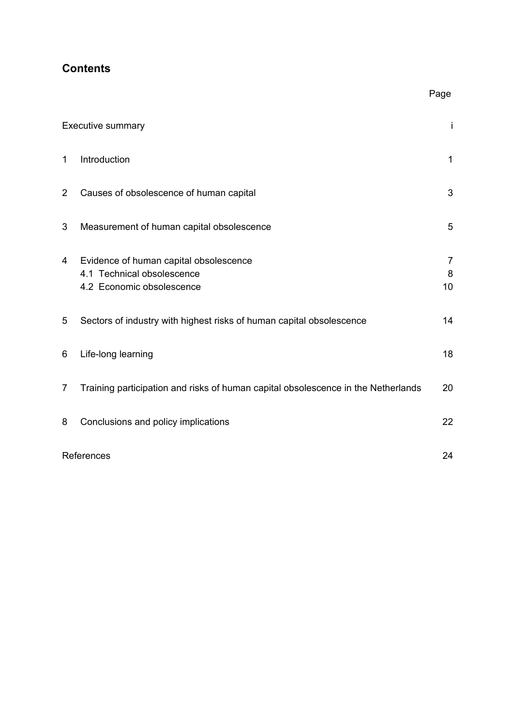## **Contents**

|                | <b>Executive summary</b>                                                                          | j                         |
|----------------|---------------------------------------------------------------------------------------------------|---------------------------|
| $\mathbf 1$    | Introduction                                                                                      | $\mathbf{1}$              |
| $\overline{2}$ | Causes of obsolescence of human capital                                                           | 3                         |
| 3              | Measurement of human capital obsolescence                                                         | 5                         |
| 4              | Evidence of human capital obsolescence<br>4.1 Technical obsolescence<br>4.2 Economic obsolescence | $\overline{7}$<br>8<br>10 |
| 5              | Sectors of industry with highest risks of human capital obsolescence                              | 14                        |
| 6              | Life-long learning                                                                                | 18                        |
| $\overline{7}$ | Training participation and risks of human capital obsolescence in the Netherlands                 | 20                        |
| 8              | Conclusions and policy implications                                                               | 22                        |
|                | References                                                                                        | 24                        |

Page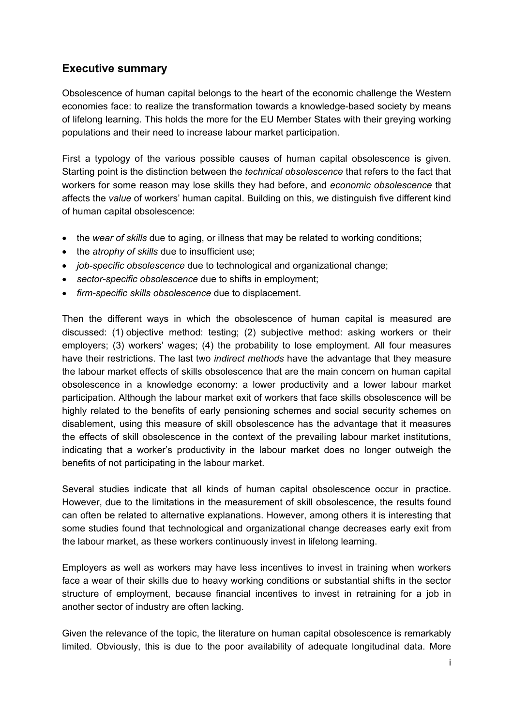## **Executive summary**

Obsolescence of human capital belongs to the heart of the economic challenge the Western economies face: to realize the transformation towards a knowledge-based society by means of lifelong learning. This holds the more for the EU Member States with their greying working populations and their need to increase labour market participation.

First a typology of the various possible causes of human capital obsolescence is given. Starting point is the distinction between the *technical obsolescence* that refers to the fact that workers for some reason may lose skills they had before, and *economic obsolescence* that affects the *value* of workers' human capital. Building on this, we distinguish five different kind of human capital obsolescence:

- the *wear of skills* due to aging, or illness that may be related to working conditions;
- the *atrophy of skills* due to insufficient use;
- *job-specific obsolescence* due to technological and organizational change;
- *sector-specific obsolescence* due to shifts in employment;
- *firm-specific skills obsolescence* due to displacement.

Then the different ways in which the obsolescence of human capital is measured are discussed: (1) objective method: testing; (2) subjective method: asking workers or their employers; (3) workers' wages; (4) the probability to lose employment. All four measures have their restrictions. The last two *indirect methods* have the advantage that they measure the labour market effects of skills obsolescence that are the main concern on human capital obsolescence in a knowledge economy: a lower productivity and a lower labour market participation. Although the labour market exit of workers that face skills obsolescence will be highly related to the benefits of early pensioning schemes and social security schemes on disablement, using this measure of skill obsolescence has the advantage that it measures the effects of skill obsolescence in the context of the prevailing labour market institutions, indicating that a worker's productivity in the labour market does no longer outweigh the benefits of not participating in the labour market.

Several studies indicate that all kinds of human capital obsolescence occur in practice. However, due to the limitations in the measurement of skill obsolescence, the results found can often be related to alternative explanations. However, among others it is interesting that some studies found that technological and organizational change decreases early exit from the labour market, as these workers continuously invest in lifelong learning.

Employers as well as workers may have less incentives to invest in training when workers face a wear of their skills due to heavy working conditions or substantial shifts in the sector structure of employment, because financial incentives to invest in retraining for a job in another sector of industry are often lacking.

Given the relevance of the topic, the literature on human capital obsolescence is remarkably limited. Obviously, this is due to the poor availability of adequate longitudinal data. More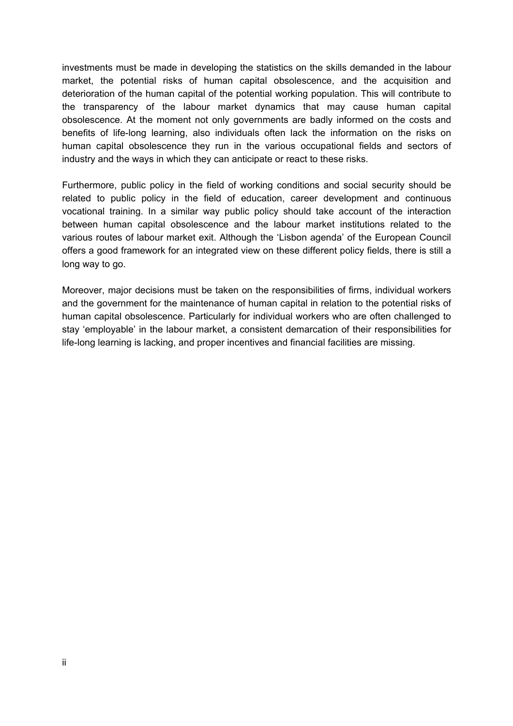investments must be made in developing the statistics on the skills demanded in the labour market, the potential risks of human capital obsolescence, and the acquisition and deterioration of the human capital of the potential working population. This will contribute to the transparency of the labour market dynamics that may cause human capital obsolescence. At the moment not only governments are badly informed on the costs and benefits of life-long learning, also individuals often lack the information on the risks on human capital obsolescence they run in the various occupational fields and sectors of industry and the ways in which they can anticipate or react to these risks.

Furthermore, public policy in the field of working conditions and social security should be related to public policy in the field of education, career development and continuous vocational training. In a similar way public policy should take account of the interaction between human capital obsolescence and the labour market institutions related to the various routes of labour market exit. Although the 'Lisbon agenda' of the European Council offers a good framework for an integrated view on these different policy fields, there is still a long way to go.

Moreover, major decisions must be taken on the responsibilities of firms, individual workers and the government for the maintenance of human capital in relation to the potential risks of human capital obsolescence. Particularly for individual workers who are often challenged to stay 'employable' in the labour market, a consistent demarcation of their responsibilities for life-long learning is lacking, and proper incentives and financial facilities are missing.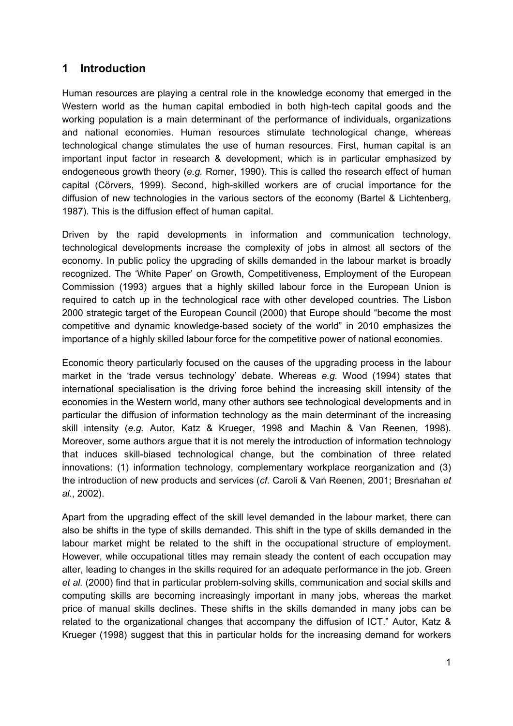## **1 Introduction**

Human resources are playing a central role in the knowledge economy that emerged in the Western world as the human capital embodied in both high-tech capital goods and the working population is a main determinant of the performance of individuals, organizations and national economies. Human resources stimulate technological change, whereas technological change stimulates the use of human resources. First, human capital is an important input factor in research & development, which is in particular emphasized by endogeneous growth theory (*e.g.* Romer, 1990). This is called the research effect of human capital (Cörvers, 1999). Second, high-skilled workers are of crucial importance for the diffusion of new technologies in the various sectors of the economy (Bartel & Lichtenberg, 1987). This is the diffusion effect of human capital.

Driven by the rapid developments in information and communication technology, technological developments increase the complexity of jobs in almost all sectors of the economy. In public policy the upgrading of skills demanded in the labour market is broadly recognized. The 'White Paper' on Growth, Competitiveness, Employment of the European Commission (1993) argues that a highly skilled labour force in the European Union is required to catch up in the technological race with other developed countries. The Lisbon 2000 strategic target of the European Council (2000) that Europe should "become the most competitive and dynamic knowledge-based society of the world" in 2010 emphasizes the importance of a highly skilled labour force for the competitive power of national economies.

Economic theory particularly focused on the causes of the upgrading process in the labour market in the 'trade versus technology' debate. Whereas *e.g.* Wood (1994) states that international specialisation is the driving force behind the increasing skill intensity of the economies in the Western world, many other authors see technological developments and in particular the diffusion of information technology as the main determinant of the increasing skill intensity (*e.g.* Autor, Katz & Krueger, 1998 and Machin & Van Reenen, 1998). Moreover, some authors argue that it is not merely the introduction of information technology that induces skill-biased technological change, but the combination of three related innovations: (1) information technology, complementary workplace reorganization and (3) the introduction of new products and services (*cf.* Caroli & Van Reenen, 2001; Bresnahan *et al.*, 2002).

Apart from the upgrading effect of the skill level demanded in the labour market, there can also be shifts in the type of skills demanded. This shift in the type of skills demanded in the labour market might be related to the shift in the occupational structure of employment. However, while occupational titles may remain steady the content of each occupation may alter, leading to changes in the skills required for an adequate performance in the job. Green *et al.* (2000) find that in particular problem-solving skills, communication and social skills and computing skills are becoming increasingly important in many jobs, whereas the market price of manual skills declines. These shifts in the skills demanded in many jobs can be related to the organizational changes that accompany the diffusion of ICT." Autor, Katz & Krueger (1998) suggest that this in particular holds for the increasing demand for workers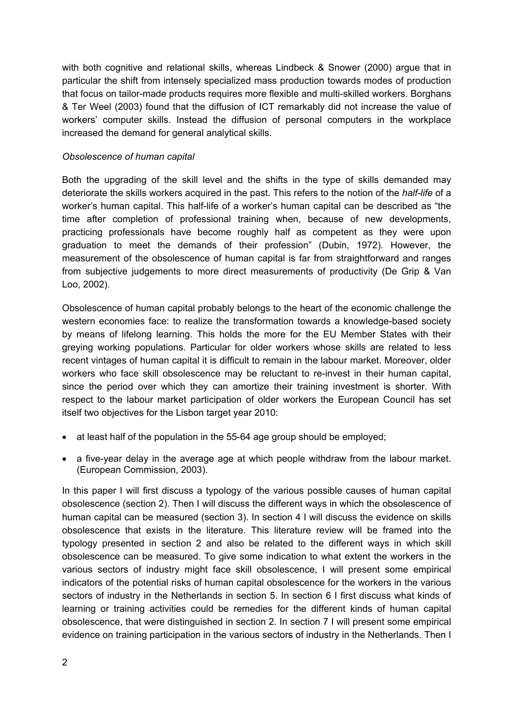with both cognitive and relational skills, whereas Lindbeck & Snower (2000) argue that in particular the shift from intensely specialized mass production towards modes of production that focus on tailor-made products requires more flexible and multi-skilled workers. Borghans & Ter Weel (2003) found that the diffusion of ICT remarkably did not increase the value of workers' computer skills. Instead the diffusion of personal computers in the workplace increased the demand for general analytical skills.

#### *Obsolescence of human capital*

Both the upgrading of the skill level and the shifts in the type of skills demanded may deteriorate the skills workers acquired in the past. This refers to the notion of the *half-life* of a worker's human capital. This half-life of a worker's human capital can be described as "the time after completion of professional training when, because of new developments, practicing professionals have become roughly half as competent as they were upon graduation to meet the demands of their profession" (Dubin, 1972). However, the measurement of the obsolescence of human capital is far from straightforward and ranges from subjective judgements to more direct measurements of productivity (De Grip & Van Loo, 2002).

Obsolescence of human capital probably belongs to the heart of the economic challenge the western economies face: to realize the transformation towards a knowledge-based society by means of lifelong learning. This holds the more for the EU Member States with their greying working populations. Particular for older workers whose skills are related to less recent vintages of human capital it is difficult to remain in the labour market. Moreover, older workers who face skill obsolescence may be reluctant to re-invest in their human capital, since the period over which they can amortize their training investment is shorter. With respect to the labour market participation of older workers the European Council has set itself two objectives for the Lisbon target year 2010:

- at least half of the population in the 55-64 age group should be employed;
- a five-year delay in the average age at which people withdraw from the labour market. (European Commission, 2003).

In this paper I will first discuss a typology of the various possible causes of human capital obsolescence (section 2). Then I will discuss the different ways in which the obsolescence of human capital can be measured (section 3). In section 4 I will discuss the evidence on skills obsolescence that exists in the literature. This literature review will be framed into the typology presented in section 2 and also be related to the different ways in which skill obsolescence can be measured. To give some indication to what extent the workers in the various sectors of industry might face skill obsolescence, I will present some empirical indicators of the potential risks of human capital obsolescence for the workers in the various sectors of industry in the Netherlands in section 5. In section 6 I first discuss what kinds of learning or training activities could be remedies for the different kinds of human capital obsolescence, that were distinguished in section 2. In section 7 I will present some empirical evidence on training participation in the various sectors of industry in the Netherlands. Then I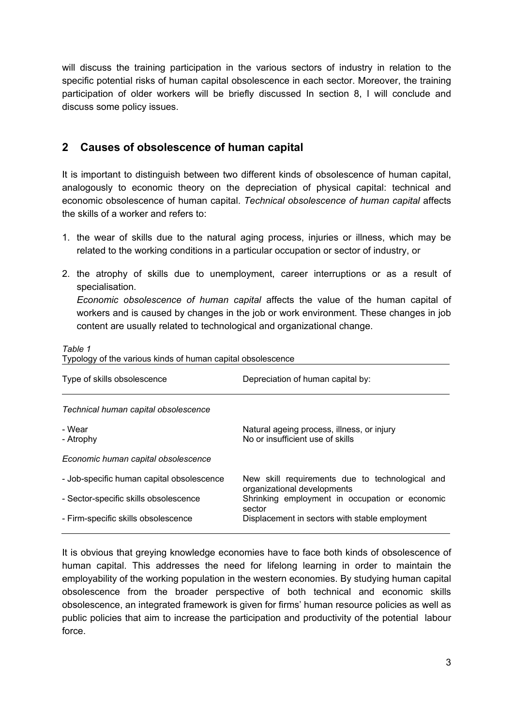will discuss the training participation in the various sectors of industry in relation to the specific potential risks of human capital obsolescence in each sector. Moreover, the training participation of older workers will be briefly discussed In section 8, I will conclude and discuss some policy issues.

### **2 Causes of obsolescence of human capital**

It is important to distinguish between two different kinds of obsolescence of human capital, analogously to economic theory on the depreciation of physical capital: technical and economic obsolescence of human capital. *Technical obsolescence of human capital* affects the skills of a worker and refers to:

- 1. the wear of skills due to the natural aging process, injuries or illness, which may be related to the working conditions in a particular occupation or sector of industry, or
- 2. the atrophy of skills due to unemployment, career interruptions or as a result of specialisation. *Economic obsolescence of human capital* affects the value of the human capital of workers and is caused by changes in the job or work environment. These changes in job content are usually related to technological and organizational change.

#### *Table 1*

Typology of the various kinds of human capital obsolescence

| Type of skills obsolescence               | Depreciation of human capital by:                                              |
|-------------------------------------------|--------------------------------------------------------------------------------|
| Technical human capital obsolescence      |                                                                                |
| - Wear<br>- Atrophy                       | Natural ageing process, illness, or injury<br>No or insufficient use of skills |
| Economic human capital obsolescence       |                                                                                |
| - Job-specific human capital obsolescence | New skill requirements due to technological and<br>organizational developments |
| - Sector-specific skills obsolescence     | Shrinking employment in occupation or economic<br>sector                       |
| - Firm-specific skills obsolescence       | Displacement in sectors with stable employment                                 |

It is obvious that greying knowledge economies have to face both kinds of obsolescence of human capital. This addresses the need for lifelong learning in order to maintain the employability of the working population in the western economies. By studying human capital obsolescence from the broader perspective of both technical and economic skills obsolescence, an integrated framework is given for firms' human resource policies as well as public policies that aim to increase the participation and productivity of the potential labour force.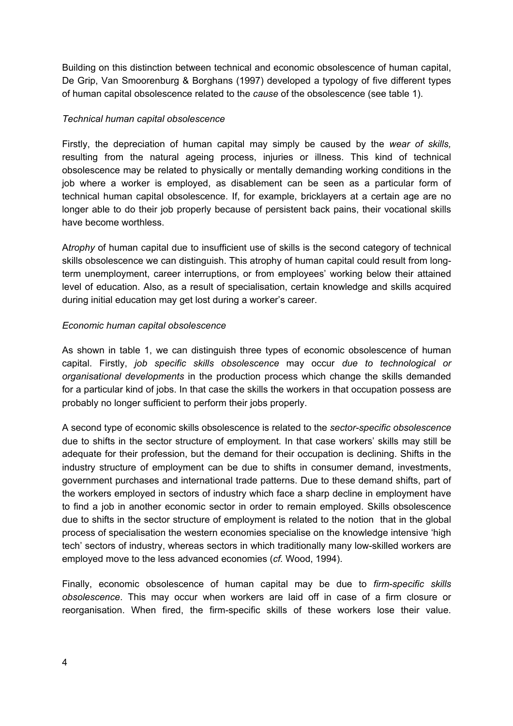Building on this distinction between technical and economic obsolescence of human capital, De Grip, Van Smoorenburg & Borghans (1997) developed a typology of five different types of human capital obsolescence related to the *cause* of the obsolescence (see table 1).

#### *Technical human capital obsolescence*

Firstly, the depreciation of human capital may simply be caused by the *wear of skills,*  resulting from the natural ageing process, injuries or illness. This kind of technical obsolescence may be related to physically or mentally demanding working conditions in the job where a worker is employed, as disablement can be seen as a particular form of technical human capital obsolescence. If, for example, bricklayers at a certain age are no longer able to do their job properly because of persistent back pains, their vocational skills have become worthless.

A*trophy* of human capital due to insufficient use of skills is the second category of technical skills obsolescence we can distinguish. This atrophy of human capital could result from longterm unemployment, career interruptions, or from employees' working below their attained level of education. Also, as a result of specialisation, certain knowledge and skills acquired during initial education may get lost during a worker's career.

### *Economic human capital obsolescence*

As shown in table 1, we can distinguish three types of economic obsolescence of human capital. Firstly, *job specific skills obsolescence* may occur *due to technological or organisational developments* in the production process which change the skills demanded for a particular kind of jobs. In that case the skills the workers in that occupation possess are probably no longer sufficient to perform their jobs properly.

A second type of economic skills obsolescence is related to the *sector-specific obsolescence*  due to shifts in the sector structure of employment*.* In that case workers' skills may still be adequate for their profession, but the demand for their occupation is declining. Shifts in the industry structure of employment can be due to shifts in consumer demand, investments, government purchases and international trade patterns. Due to these demand shifts, part of the workers employed in sectors of industry which face a sharp decline in employment have to find a job in another economic sector in order to remain employed. Skills obsolescence due to shifts in the sector structure of employment is related to the notion that in the global process of specialisation the western economies specialise on the knowledge intensive 'high tech' sectors of industry, whereas sectors in which traditionally many low-skilled workers are employed move to the less advanced economies (*cf.* Wood, 1994).

Finally, economic obsolescence of human capital may be due to *firm-specific skills obsolescence*. This may occur when workers are laid off in case of a firm closure or reorganisation. When fired, the firm-specific skills of these workers lose their value.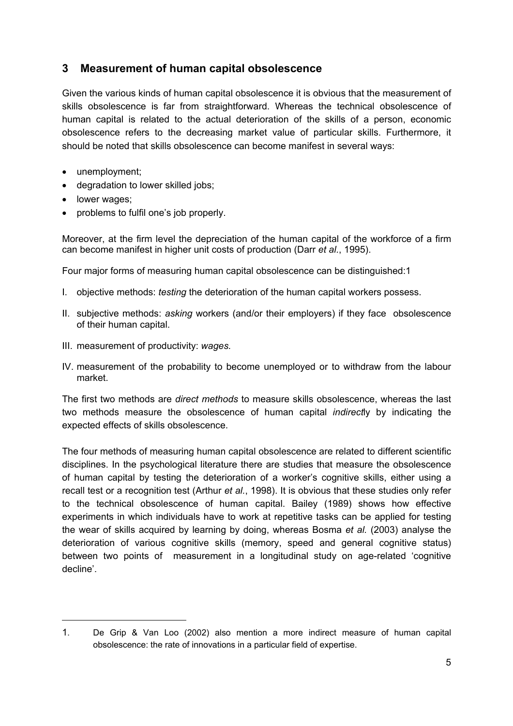### **3 Measurement of human capital obsolescence**

Given the various kinds of human capital obsolescence it is obvious that the measurement of skills obsolescence is far from straightforward. Whereas the technical obsolescence of human capital is related to the actual deterioration of the skills of a person, economic obsolescence refers to the decreasing market value of particular skills. Furthermore, it should be noted that skills obsolescence can become manifest in several ways:

- unemployment;
- degradation to lower skilled jobs;
- lower wages;

• problems to fulfil one's job properly.

Moreover, at the firm level the depreciation of the human capital of the workforce of a firm can become manifest in higher unit costs of production (Darr *et al.*, 1995).

Four major forms of measuring human capital obsolescence can be distinguished:1

- I. objective methods: *testing* the deterioration of the human capital workers possess.
- II. subjective methods: *asking* workers (and/or their employers) if they face obsolescence of their human capital.
- III. measurement of productivity: *wages.*
- IV. measurement of the probability to become unemployed or to withdraw from the labour market.

The first two methods are *direct methods* to measure skills obsolescence, whereas the last two methods measure the obsolescence of human capital *indirect*ly by indicating the expected effects of skills obsolescence.

The four methods of measuring human capital obsolescence are related to different scientific disciplines. In the psychological literature there are studies that measure the obsolescence of human capital by testing the deterioration of a worker's cognitive skills, either using a recall test or a recognition test (Arthur *et al.*, 1998). It is obvious that these studies only refer to the technical obsolescence of human capital. Bailey (1989) shows how effective experiments in which individuals have to work at repetitive tasks can be applied for testing the wear of skills acquired by learning by doing, whereas Bosma *et al.* (2003) analyse the deterioration of various cognitive skills (memory, speed and general cognitive status) between two points of measurement in a longitudinal study on age-related 'cognitive decline'.

<sup>1.</sup> De Grip & Van Loo (2002) also mention a more indirect measure of human capital obsolescence: the rate of innovations in a particular field of expertise.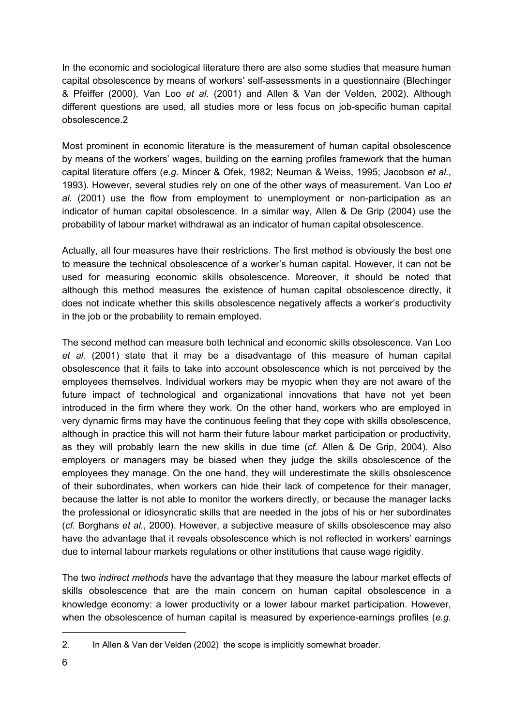In the economic and sociological literature there are also some studies that measure human capital obsolescence by means of workers' self-assessments in a questionnaire (Blechinger & Pfeiffer (2000), Van Loo *et al.* (2001) and Allen & Van der Velden, 2002). Although different questions are used, all studies more or less focus on job-specific human capital obsolescence.2

Most prominent in economic literature is the measurement of human capital obsolescence by means of the workers' wages, building on the earning profiles framework that the human capital literature offers (*e.g.* Mincer & Ofek, 1982; Neuman & Weiss, 1995; Jacobson *et al.*, 1993). However, several studies rely on one of the other ways of measurement. Van Loo *et al.* (2001) use the flow from employment to unemployment or non-participation as an indicator of human capital obsolescence. In a similar way, Allen & De Grip (2004) use the probability of labour market withdrawal as an indicator of human capital obsolescence.

Actually, all four measures have their restrictions. The first method is obviously the best one to measure the technical obsolescence of a worker's human capital. However, it can not be used for measuring economic skills obsolescence. Moreover, it should be noted that although this method measures the existence of human capital obsolescence directly, it does not indicate whether this skills obsolescence negatively affects a worker's productivity in the job or the probability to remain employed.

The second method can measure both technical and economic skills obsolescence. Van Loo *et al.* (2001) state that it may be a disadvantage of this measure of human capital obsolescence that it fails to take into account obsolescence which is not perceived by the employees themselves. Individual workers may be myopic when they are not aware of the future impact of technological and organizational innovations that have not yet been introduced in the firm where they work. On the other hand, workers who are employed in very dynamic firms may have the continuous feeling that they cope with skills obsolescence, although in practice this will not harm their future labour market participation or productivity, as they will probably learn the new skills in due time (*cf.* Allen & De Grip, 2004). Also employers or managers may be biased when they judge the skills obsolescence of the employees they manage. On the one hand, they will underestimate the skills obsolescence of their subordinates, when workers can hide their lack of competence for their manager, because the latter is not able to monitor the workers directly, or because the manager lacks the professional or idiosyncratic skills that are needed in the jobs of his or her subordinates (*cf.* Borghans *et al.*, 2000). However, a subjective measure of skills obsolescence may also have the advantage that it reveals obsolescence which is not reflected in workers' earnings due to internal labour markets regulations or other institutions that cause wage rigidity.

The two *indirect methods* have the advantage that they measure the labour market effects of skills obsolescence that are the main concern on human capital obsolescence in a knowledge economy: a lower productivity or a lower labour market participation. However, when the obsolescence of human capital is measured by experience-earnings profiles (*e.g.*

<sup>2.</sup> In Allen & Van der Velden (2002) the scope is implicitly somewhat broader.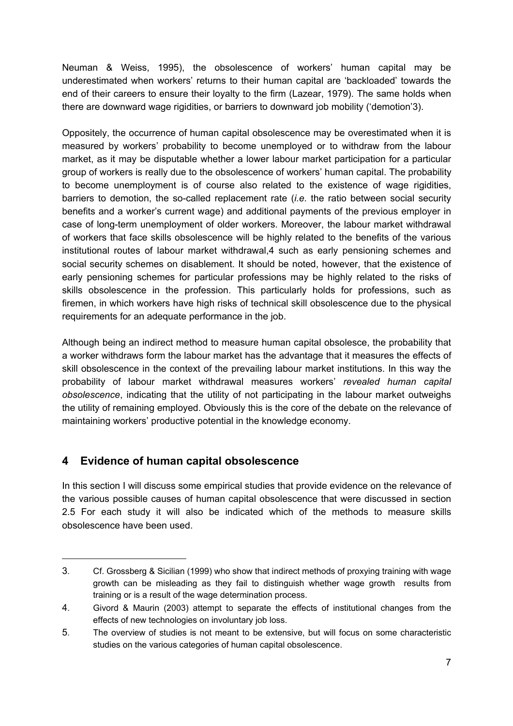Neuman & Weiss, 1995), the obsolescence of workers' human capital may be underestimated when workers' returns to their human capital are 'backloaded' towards the end of their careers to ensure their loyalty to the firm (Lazear, 1979). The same holds when there are downward wage rigidities, or barriers to downward job mobility ('demotion'3).

Oppositely, the occurrence of human capital obsolescence may be overestimated when it is measured by workers' probability to become unemployed or to withdraw from the labour market, as it may be disputable whether a lower labour market participation for a particular group of workers is really due to the obsolescence of workers' human capital. The probability to become unemployment is of course also related to the existence of wage rigidities, barriers to demotion, the so-called replacement rate (*i.e.* the ratio between social security benefits and a worker's current wage) and additional payments of the previous employer in case of long-term unemployment of older workers. Moreover, the labour market withdrawal of workers that face skills obsolescence will be highly related to the benefits of the various institutional routes of labour market withdrawal,4 such as early pensioning schemes and social security schemes on disablement. It should be noted, however, that the existence of early pensioning schemes for particular professions may be highly related to the risks of skills obsolescence in the profession. This particularly holds for professions, such as firemen, in which workers have high risks of technical skill obsolescence due to the physical requirements for an adequate performance in the job.

Although being an indirect method to measure human capital obsolesce, the probability that a worker withdraws form the labour market has the advantage that it measures the effects of skill obsolescence in the context of the prevailing labour market institutions. In this way the probability of labour market withdrawal measures workers' *revealed human capital obsolescence*, indicating that the utility of not participating in the labour market outweighs the utility of remaining employed. Obviously this is the core of the debate on the relevance of maintaining workers' productive potential in the knowledge economy.

## **4 Evidence of human capital obsolescence**

In this section I will discuss some empirical studies that provide evidence on the relevance of the various possible causes of human capital obsolescence that were discussed in section 2.5 For each study it will also be indicated which of the methods to measure skills obsolescence have been used.

<sup>3.</sup> Cf. Grossberg & Sicilian (1999) who show that indirect methods of proxying training with wage growth can be misleading as they fail to distinguish whether wage growth results from training or is a result of the wage determination process.

<sup>4.</sup> Givord & Maurin (2003) attempt to separate the effects of institutional changes from the effects of new technologies on involuntary job loss.

<sup>5.</sup> The overview of studies is not meant to be extensive, but will focus on some characteristic studies on the various categories of human capital obsolescence.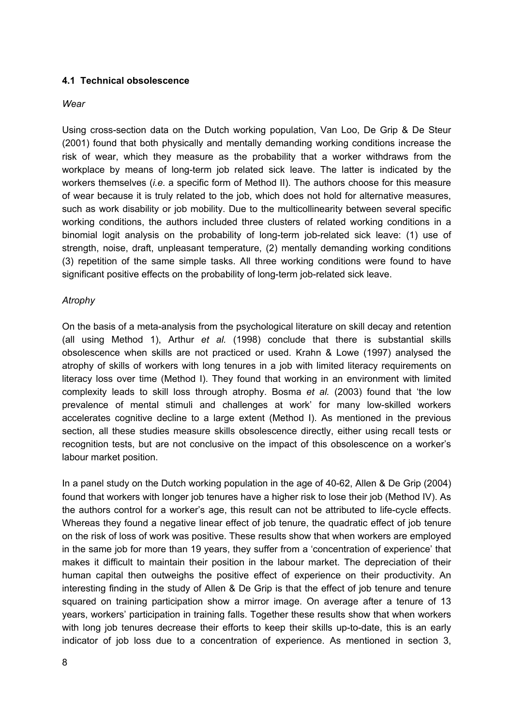#### **4.1 Technical obsolescence**

#### *Wear*

Using cross-section data on the Dutch working population, Van Loo, De Grip & De Steur (2001) found that both physically and mentally demanding working conditions increase the risk of wear, which they measure as the probability that a worker withdraws from the workplace by means of long-term job related sick leave. The latter is indicated by the workers themselves (*i.e.* a specific form of Method II). The authors choose for this measure of wear because it is truly related to the job, which does not hold for alternative measures, such as work disability or job mobility. Due to the multicollinearity between several specific working conditions, the authors included three clusters of related working conditions in a binomial logit analysis on the probability of long-term job-related sick leave: (1) use of strength, noise, draft, unpleasant temperature, (2) mentally demanding working conditions (3) repetition of the same simple tasks. All three working conditions were found to have significant positive effects on the probability of long-term job-related sick leave.

### *Atrophy*

On the basis of a meta-analysis from the psychological literature on skill decay and retention (all using Method 1), Arthur *et al.* (1998) conclude that there is substantial skills obsolescence when skills are not practiced or used. Krahn & Lowe (1997) analysed the atrophy of skills of workers with long tenures in a job with limited literacy requirements on literacy loss over time (Method I). They found that working in an environment with limited complexity leads to skill loss through atrophy. Bosma *et al.* (2003) found that 'the low prevalence of mental stimuli and challenges at work' for many low-skilled workers accelerates cognitive decline to a large extent (Method I). As mentioned in the previous section, all these studies measure skills obsolescence directly, either using recall tests or recognition tests, but are not conclusive on the impact of this obsolescence on a worker's labour market position.

In a panel study on the Dutch working population in the age of 40-62, Allen & De Grip (2004) found that workers with longer job tenures have a higher risk to lose their job (Method IV). As the authors control for a worker's age, this result can not be attributed to life-cycle effects. Whereas they found a negative linear effect of job tenure, the quadratic effect of job tenure on the risk of loss of work was positive. These results show that when workers are employed in the same job for more than 19 years, they suffer from a 'concentration of experience' that makes it difficult to maintain their position in the labour market. The depreciation of their human capital then outweighs the positive effect of experience on their productivity. An interesting finding in the study of Allen & De Grip is that the effect of job tenure and tenure squared on training participation show a mirror image. On average after a tenure of 13 years, workers' participation in training falls. Together these results show that when workers with long job tenures decrease their efforts to keep their skills up-to-date, this is an early indicator of job loss due to a concentration of experience. As mentioned in section 3,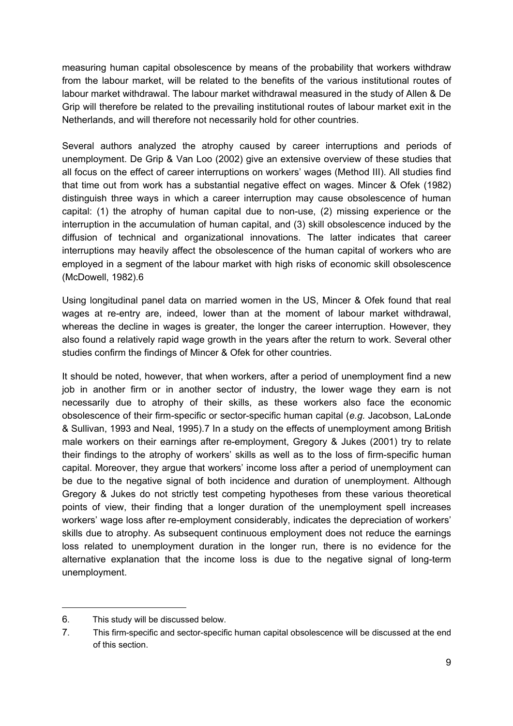measuring human capital obsolescence by means of the probability that workers withdraw from the labour market, will be related to the benefits of the various institutional routes of labour market withdrawal. The labour market withdrawal measured in the study of Allen & De Grip will therefore be related to the prevailing institutional routes of labour market exit in the Netherlands, and will therefore not necessarily hold for other countries.

Several authors analyzed the atrophy caused by career interruptions and periods of unemployment. De Grip & Van Loo (2002) give an extensive overview of these studies that all focus on the effect of career interruptions on workers' wages (Method III). All studies find that time out from work has a substantial negative effect on wages. Mincer & Ofek (1982) distinguish three ways in which a career interruption may cause obsolescence of human capital: (1) the atrophy of human capital due to non-use, (2) missing experience or the interruption in the accumulation of human capital, and (3) skill obsolescence induced by the diffusion of technical and organizational innovations. The latter indicates that career interruptions may heavily affect the obsolescence of the human capital of workers who are employed in a segment of the labour market with high risks of economic skill obsolescence (McDowell, 1982).6

Using longitudinal panel data on married women in the US, Mincer & Ofek found that real wages at re-entry are, indeed, lower than at the moment of labour market withdrawal, whereas the decline in wages is greater, the longer the career interruption. However, they also found a relatively rapid wage growth in the years after the return to work. Several other studies confirm the findings of Mincer & Ofek for other countries.

It should be noted, however, that when workers, after a period of unemployment find a new job in another firm or in another sector of industry, the lower wage they earn is not necessarily due to atrophy of their skills, as these workers also face the economic obsolescence of their firm-specific or sector-specific human capital (*e.g.* Jacobson, LaLonde & Sullivan, 1993 and Neal, 1995).7 In a study on the effects of unemployment among British male workers on their earnings after re-employment, Gregory & Jukes (2001) try to relate their findings to the atrophy of workers' skills as well as to the loss of firm-specific human capital. Moreover, they argue that workers' income loss after a period of unemployment can be due to the negative signal of both incidence and duration of unemployment. Although Gregory & Jukes do not strictly test competing hypotheses from these various theoretical points of view, their finding that a longer duration of the unemployment spell increases workers' wage loss after re-employment considerably, indicates the depreciation of workers' skills due to atrophy. As subsequent continuous employment does not reduce the earnings loss related to unemployment duration in the longer run, there is no evidence for the alternative explanation that the income loss is due to the negative signal of long-term unemployment.

<sup>6.</sup> This study will be discussed below.

<sup>7.</sup> This firm-specific and sector-specific human capital obsolescence will be discussed at the end of this section.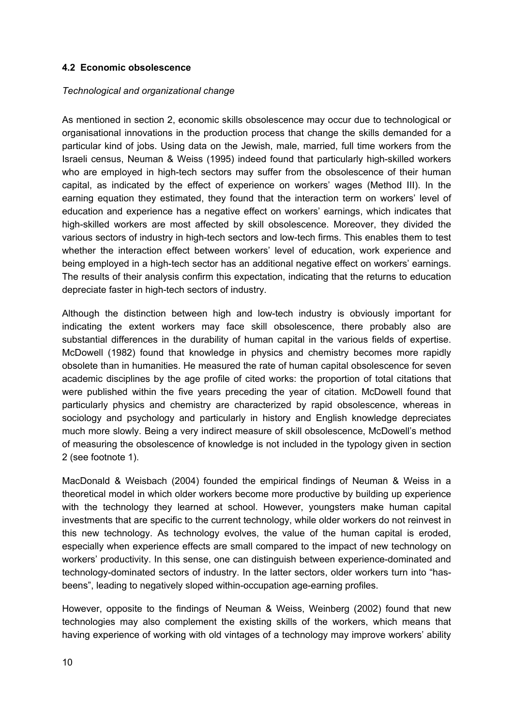#### **4.2 Economic obsolescence**

#### *Technological and organizational change*

As mentioned in section 2, economic skills obsolescence may occur due to technological or organisational innovations in the production process that change the skills demanded for a particular kind of jobs. Using data on the Jewish, male, married, full time workers from the Israeli census, Neuman & Weiss (1995) indeed found that particularly high-skilled workers who are employed in high-tech sectors may suffer from the obsolescence of their human capital, as indicated by the effect of experience on workers' wages (Method III). In the earning equation they estimated, they found that the interaction term on workers' level of education and experience has a negative effect on workers' earnings, which indicates that high-skilled workers are most affected by skill obsolescence. Moreover, they divided the various sectors of industry in high-tech sectors and low-tech firms. This enables them to test whether the interaction effect between workers' level of education, work experience and being employed in a high-tech sector has an additional negative effect on workers' earnings. The results of their analysis confirm this expectation, indicating that the returns to education depreciate faster in high-tech sectors of industry.

Although the distinction between high and low-tech industry is obviously important for indicating the extent workers may face skill obsolescence, there probably also are substantial differences in the durability of human capital in the various fields of expertise. McDowell (1982) found that knowledge in physics and chemistry becomes more rapidly obsolete than in humanities. He measured the rate of human capital obsolescence for seven academic disciplines by the age profile of cited works: the proportion of total citations that were published within the five years preceding the year of citation. McDowell found that particularly physics and chemistry are characterized by rapid obsolescence, whereas in sociology and psychology and particularly in history and English knowledge depreciates much more slowly. Being a very indirect measure of skill obsolescence, McDowell's method of measuring the obsolescence of knowledge is not included in the typology given in section 2 (see footnote 1).

MacDonald & Weisbach (2004) founded the empirical findings of Neuman & Weiss in a theoretical model in which older workers become more productive by building up experience with the technology they learned at school. However, youngsters make human capital investments that are specific to the current technology, while older workers do not reinvest in this new technology. As technology evolves, the value of the human capital is eroded, especially when experience effects are small compared to the impact of new technology on workers' productivity. In this sense, one can distinguish between experience-dominated and technology-dominated sectors of industry. In the latter sectors, older workers turn into "hasbeens", leading to negatively sloped within-occupation age-earning profiles.

However, opposite to the findings of Neuman & Weiss, Weinberg (2002) found that new technologies may also complement the existing skills of the workers, which means that having experience of working with old vintages of a technology may improve workers' ability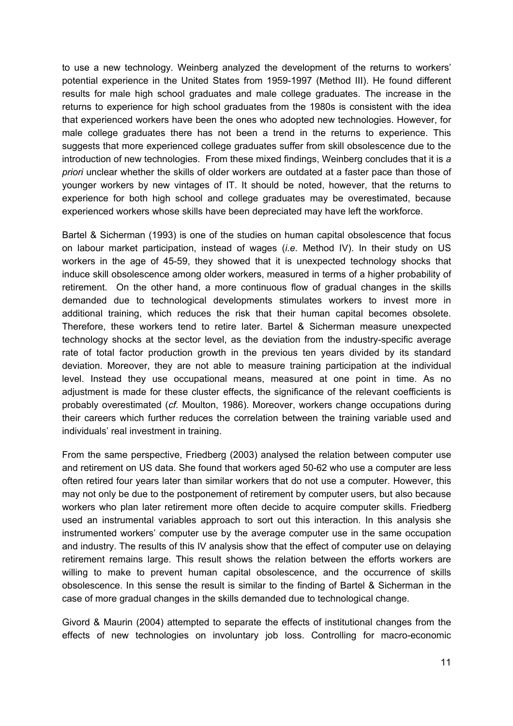to use a new technology. Weinberg analyzed the development of the returns to workers' potential experience in the United States from 1959-1997 (Method III). He found different results for male high school graduates and male college graduates. The increase in the returns to experience for high school graduates from the 1980s is consistent with the idea that experienced workers have been the ones who adopted new technologies. However, for male college graduates there has not been a trend in the returns to experience. This suggests that more experienced college graduates suffer from skill obsolescence due to the introduction of new technologies. From these mixed findings, Weinberg concludes that it is *a priori* unclear whether the skills of older workers are outdated at a faster pace than those of younger workers by new vintages of IT. It should be noted, however, that the returns to experience for both high school and college graduates may be overestimated, because experienced workers whose skills have been depreciated may have left the workforce.

Bartel & Sicherman (1993) is one of the studies on human capital obsolescence that focus on labour market participation, instead of wages (*i.e.* Method IV). In their study on US workers in the age of 45-59, they showed that it is unexpected technology shocks that induce skill obsolescence among older workers, measured in terms of a higher probability of retirement. On the other hand, a more continuous flow of gradual changes in the skills demanded due to technological developments stimulates workers to invest more in additional training, which reduces the risk that their human capital becomes obsolete. Therefore, these workers tend to retire later. Bartel & Sicherman measure unexpected technology shocks at the sector level, as the deviation from the industry-specific average rate of total factor production growth in the previous ten years divided by its standard deviation. Moreover, they are not able to measure training participation at the individual level. Instead they use occupational means, measured at one point in time. As no adjustment is made for these cluster effects, the significance of the relevant coefficients is probably overestimated (*cf.* Moulton, 1986). Moreover, workers change occupations during their careers which further reduces the correlation between the training variable used and individuals' real investment in training.

From the same perspective, Friedberg (2003) analysed the relation between computer use and retirement on US data. She found that workers aged 50-62 who use a computer are less often retired four years later than similar workers that do not use a computer. However, this may not only be due to the postponement of retirement by computer users, but also because workers who plan later retirement more often decide to acquire computer skills. Friedberg used an instrumental variables approach to sort out this interaction. In this analysis she instrumented workers' computer use by the average computer use in the same occupation and industry. The results of this IV analysis show that the effect of computer use on delaying retirement remains large. This result shows the relation between the efforts workers are willing to make to prevent human capital obsolescence, and the occurrence of skills obsolescence. In this sense the result is similar to the finding of Bartel & Sicherman in the case of more gradual changes in the skills demanded due to technological change.

Givord & Maurin (2004) attempted to separate the effects of institutional changes from the effects of new technologies on involuntary job loss. Controlling for macro-economic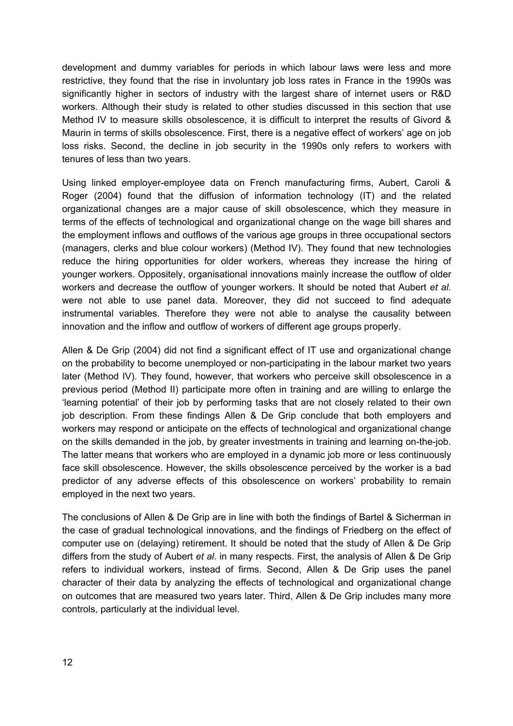development and dummy variables for periods in which labour laws were less and more restrictive, they found that the rise in involuntary job loss rates in France in the 1990s was significantly higher in sectors of industry with the largest share of internet users or R&D workers. Although their study is related to other studies discussed in this section that use Method IV to measure skills obsolescence, it is difficult to interpret the results of Givord & Maurin in terms of skills obsolescence. First, there is a negative effect of workers' age on job loss risks. Second, the decline in job security in the 1990s only refers to workers with tenures of less than two years.

Using linked employer-employee data on French manufacturing firms, Aubert, Caroli & Roger (2004) found that the diffusion of information technology (IT) and the related organizational changes are a major cause of skill obsolescence, which they measure in terms of the effects of technological and organizational change on the wage bill shares and the employment inflows and outflows of the various age groups in three occupational sectors (managers, clerks and blue colour workers) (Method IV). They found that new technologies reduce the hiring opportunities for older workers, whereas they increase the hiring of younger workers. Oppositely, organisational innovations mainly increase the outflow of older workers and decrease the outflow of younger workers. It should be noted that Aubert *et al.* were not able to use panel data. Moreover, they did not succeed to find adequate instrumental variables. Therefore they were not able to analyse the causality between innovation and the inflow and outflow of workers of different age groups properly.

Allen & De Grip (2004) did not find a significant effect of IT use and organizational change on the probability to become unemployed or non-participating in the labour market two years later (Method IV). They found, however, that workers who perceive skill obsolescence in a previous period (Method II) participate more often in training and are willing to enlarge the 'learning potential' of their job by performing tasks that are not closely related to their own job description. From these findings Allen & De Grip conclude that both employers and workers may respond or anticipate on the effects of technological and organizational change on the skills demanded in the job, by greater investments in training and learning on-the-job. The latter means that workers who are employed in a dynamic job more or less continuously face skill obsolescence. However, the skills obsolescence perceived by the worker is a bad predictor of any adverse effects of this obsolescence on workers' probability to remain employed in the next two years.

The conclusions of Allen & De Grip are in line with both the findings of Bartel & Sicherman in the case of gradual technological innovations, and the findings of Friedberg on the effect of computer use on (delaying) retirement. It should be noted that the study of Allen & De Grip differs from the study of Aubert *et al.* in many respects. First, the analysis of Allen & De Grip refers to individual workers, instead of firms. Second, Allen & De Grip uses the panel character of their data by analyzing the effects of technological and organizational change on outcomes that are measured two years later. Third, Allen & De Grip includes many more controls, particularly at the individual level.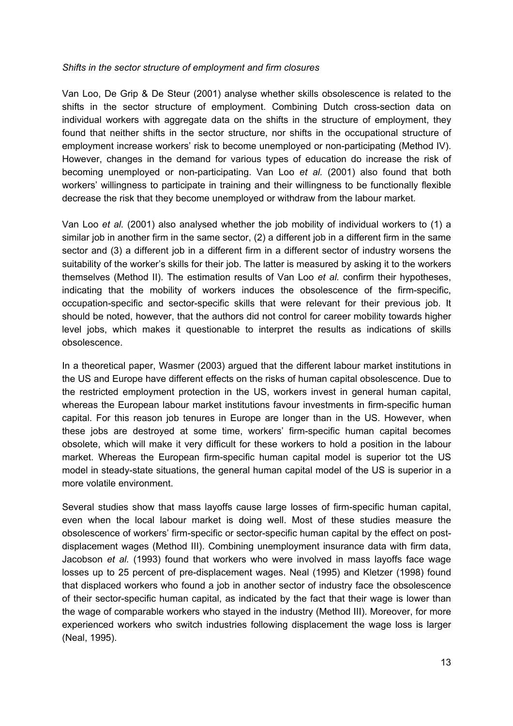#### *Shifts in the sector structure of employment and firm closures*

Van Loo, De Grip & De Steur (2001) analyse whether skills obsolescence is related to the shifts in the sector structure of employment. Combining Dutch cross-section data on individual workers with aggregate data on the shifts in the structure of employment, they found that neither shifts in the sector structure, nor shifts in the occupational structure of employment increase workers' risk to become unemployed or non-participating (Method IV). However, changes in the demand for various types of education do increase the risk of becoming unemployed or non-participating. Van Loo *et al.* (2001) also found that both workers' willingness to participate in training and their willingness to be functionally flexible decrease the risk that they become unemployed or withdraw from the labour market.

Van Loo *et al.* (2001) also analysed whether the job mobility of individual workers to (1) a similar job in another firm in the same sector, (2) a different job in a different firm in the same sector and (3) a different job in a different firm in a different sector of industry worsens the suitability of the worker's skills for their job. The latter is measured by asking it to the workers themselves (Method II). The estimation results of Van Loo *et al.* confirm their hypotheses, indicating that the mobility of workers induces the obsolescence of the firm-specific, occupation-specific and sector-specific skills that were relevant for their previous job. It should be noted, however, that the authors did not control for career mobility towards higher level jobs, which makes it questionable to interpret the results as indications of skills obsolescence.

In a theoretical paper, Wasmer (2003) argued that the different labour market institutions in the US and Europe have different effects on the risks of human capital obsolescence. Due to the restricted employment protection in the US, workers invest in general human capital, whereas the European labour market institutions favour investments in firm-specific human capital. For this reason job tenures in Europe are longer than in the US. However, when these jobs are destroyed at some time, workers' firm-specific human capital becomes obsolete, which will make it very difficult for these workers to hold a position in the labour market. Whereas the European firm-specific human capital model is superior tot the US model in steady-state situations, the general human capital model of the US is superior in a more volatile environment.

Several studies show that mass layoffs cause large losses of firm-specific human capital, even when the local labour market is doing well. Most of these studies measure the obsolescence of workers' firm-specific or sector-specific human capital by the effect on postdisplacement wages (Method III). Combining unemployment insurance data with firm data, Jacobson *et al.* (1993) found that workers who were involved in mass layoffs face wage losses up to 25 percent of pre-displacement wages. Neal (1995) and Kletzer (1998) found that displaced workers who found a job in another sector of industry face the obsolescence of their sector-specific human capital, as indicated by the fact that their wage is lower than the wage of comparable workers who stayed in the industry (Method III). Moreover, for more experienced workers who switch industries following displacement the wage loss is larger (Neal, 1995).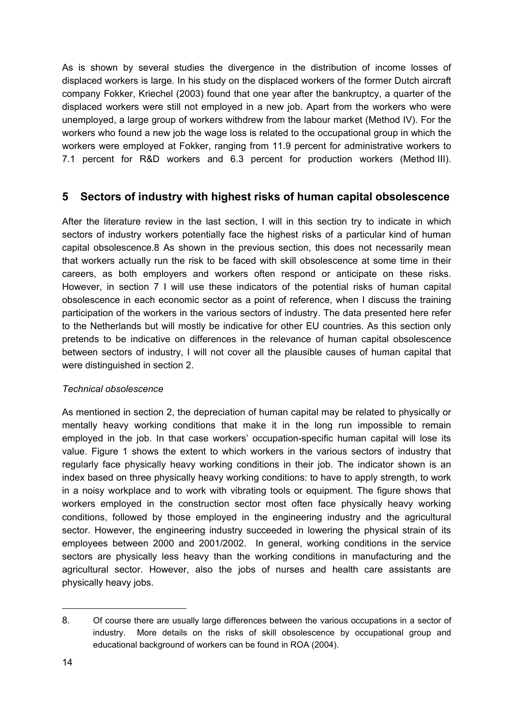As is shown by several studies the divergence in the distribution of income losses of displaced workers is large. In his study on the displaced workers of the former Dutch aircraft company Fokker, Kriechel (2003) found that one year after the bankruptcy, a quarter of the displaced workers were still not employed in a new job. Apart from the workers who were unemployed, a large group of workers withdrew from the labour market (Method IV). For the workers who found a new job the wage loss is related to the occupational group in which the workers were employed at Fokker, ranging from 11.9 percent for administrative workers to 7.1 percent for R&D workers and 6.3 percent for production workers (Method III).

### **5 Sectors of industry with highest risks of human capital obsolescence**

After the literature review in the last section, I will in this section try to indicate in which sectors of industry workers potentially face the highest risks of a particular kind of human capital obsolescence.8 As shown in the previous section, this does not necessarily mean that workers actually run the risk to be faced with skill obsolescence at some time in their careers, as both employers and workers often respond or anticipate on these risks. However, in section 7 I will use these indicators of the potential risks of human capital obsolescence in each economic sector as a point of reference, when I discuss the training participation of the workers in the various sectors of industry. The data presented here refer to the Netherlands but will mostly be indicative for other EU countries. As this section only pretends to be indicative on differences in the relevance of human capital obsolescence between sectors of industry, I will not cover all the plausible causes of human capital that were distinguished in section 2.

### *Technical obsolescence*

As mentioned in section 2, the depreciation of human capital may be related to physically or mentally heavy working conditions that make it in the long run impossible to remain employed in the job. In that case workers' occupation-specific human capital will lose its value. Figure 1 shows the extent to which workers in the various sectors of industry that regularly face physically heavy working conditions in their job. The indicator shown is an index based on three physically heavy working conditions: to have to apply strength, to work in a noisy workplace and to work with vibrating tools or equipment. The figure shows that workers employed in the construction sector most often face physically heavy working conditions, followed by those employed in the engineering industry and the agricultural sector. However, the engineering industry succeeded in lowering the physical strain of its employees between 2000 and 2001/2002. In general, working conditions in the service sectors are physically less heavy than the working conditions in manufacturing and the agricultural sector. However, also the jobs of nurses and health care assistants are physically heavy jobs.

<sup>8.</sup> Of course there are usually large differences between the various occupations in a sector of industry. More details on the risks of skill obsolescence by occupational group and educational background of workers can be found in ROA (2004).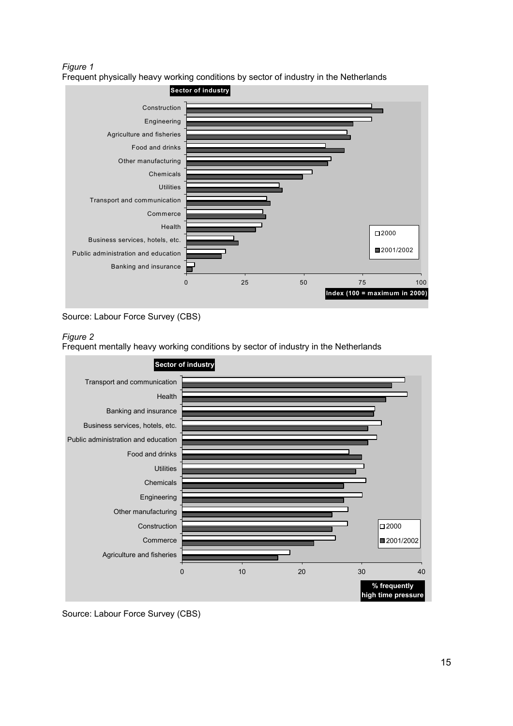*Figure 1*  Frequent physically heavy working conditions by sector of industry in the Netherlands



Source: Labour Force Survey (CBS)



Frequent mentally heavy working conditions by sector of industry in the Netherlands



Source: Labour Force Survey (CBS)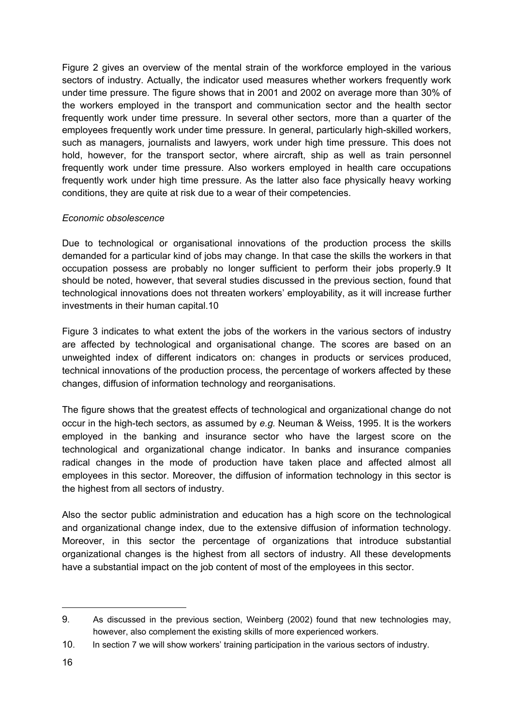Figure 2 gives an overview of the mental strain of the workforce employed in the various sectors of industry. Actually, the indicator used measures whether workers frequently work under time pressure. The figure shows that in 2001 and 2002 on average more than 30% of the workers employed in the transport and communication sector and the health sector frequently work under time pressure. In several other sectors, more than a quarter of the employees frequently work under time pressure. In general, particularly high-skilled workers, such as managers, journalists and lawyers, work under high time pressure. This does not hold, however, for the transport sector, where aircraft, ship as well as train personnel frequently work under time pressure. Also workers employed in health care occupations frequently work under high time pressure. As the latter also face physically heavy working conditions, they are quite at risk due to a wear of their competencies.

### *Economic obsolescence*

Due to technological or organisational innovations of the production process the skills demanded for a particular kind of jobs may change. In that case the skills the workers in that occupation possess are probably no longer sufficient to perform their jobs properly.9 It should be noted, however, that several studies discussed in the previous section, found that technological innovations does not threaten workers' employability, as it will increase further investments in their human capital.10

Figure 3 indicates to what extent the jobs of the workers in the various sectors of industry are affected by technological and organisational change. The scores are based on an unweighted index of different indicators on: changes in products or services produced, technical innovations of the production process, the percentage of workers affected by these changes, diffusion of information technology and reorganisations.

The figure shows that the greatest effects of technological and organizational change do not occur in the high-tech sectors, as assumed by *e.g.* Neuman & Weiss, 1995. It is the workers employed in the banking and insurance sector who have the largest score on the technological and organizational change indicator. In banks and insurance companies radical changes in the mode of production have taken place and affected almost all employees in this sector. Moreover, the diffusion of information technology in this sector is the highest from all sectors of industry.

Also the sector public administration and education has a high score on the technological and organizational change index, due to the extensive diffusion of information technology. Moreover, in this sector the percentage of organizations that introduce substantial organizational changes is the highest from all sectors of industry. All these developments have a substantial impact on the job content of most of the employees in this sector.

<sup>9.</sup> As discussed in the previous section, Weinberg (2002) found that new technologies may, however, also complement the existing skills of more experienced workers.

<sup>10.</sup> In section 7 we will show workers' training participation in the various sectors of industry.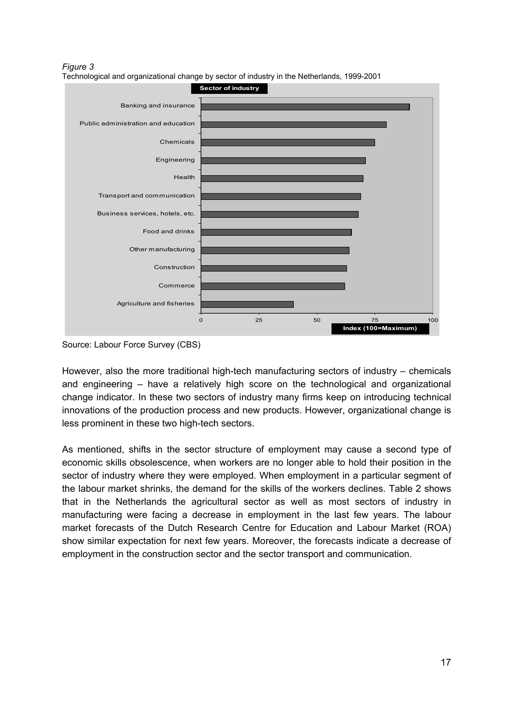*Figure 3*  Technological and organizational change by sector of industry in the Netherlands, 1999-2001



Source: Labour Force Survey (CBS)

However, also the more traditional high-tech manufacturing sectors of industry – chemicals and engineering – have a relatively high score on the technological and organizational change indicator. In these two sectors of industry many firms keep on introducing technical innovations of the production process and new products. However, organizational change is less prominent in these two high-tech sectors.

As mentioned, shifts in the sector structure of employment may cause a second type of economic skills obsolescence, when workers are no longer able to hold their position in the sector of industry where they were employed. When employment in a particular segment of the labour market shrinks, the demand for the skills of the workers declines. Table 2 shows that in the Netherlands the agricultural sector as well as most sectors of industry in manufacturing were facing a decrease in employment in the last few years. The labour market forecasts of the Dutch Research Centre for Education and Labour Market (ROA) show similar expectation for next few years. Moreover, the forecasts indicate a decrease of employment in the construction sector and the sector transport and communication.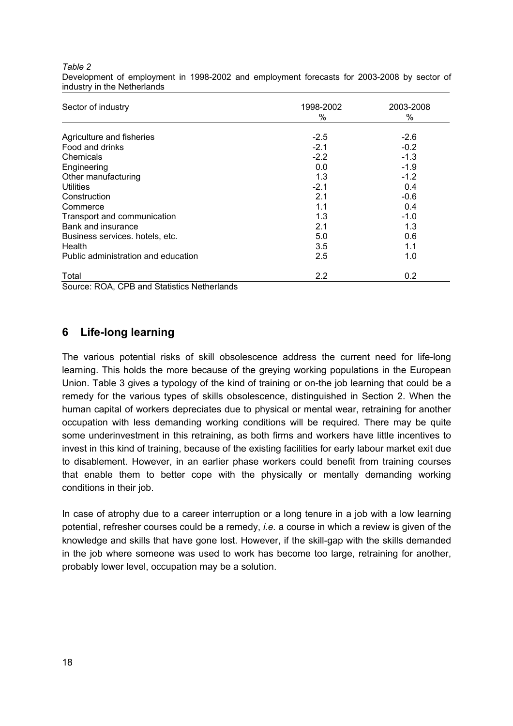| Sector of industry                  | 1998-2002 | 2003-2008 |
|-------------------------------------|-----------|-----------|
|                                     | $\%$      | $\%$      |
| Agriculture and fisheries           | $-2.5$    | $-2.6$    |
| Food and drinks                     | $-2.1$    | $-0.2$    |
| Chemicals                           | $-2.2$    | $-1.3$    |
| Engineering                         | 0.0       | $-1.9$    |
| Other manufacturing                 | 1.3       | $-1.2$    |
| Utilities                           | $-2.1$    | 0.4       |
| Construction                        | 2.1       | $-0.6$    |
| Commerce                            | 1.1       | 0.4       |
| Transport and communication         | 1.3       | $-1.0$    |
| Bank and insurance                  | 2.1       | 1.3       |
| Business services. hotels, etc.     | 5.0       | 0.6       |
| Health                              | 3.5       | 1.1       |
| Public administration and education | 2.5       | 1.0       |
| Total                               | 2.2       | 0.2       |

Development of employment in 1998-2002 and employment forecasts for 2003-2008 by sector of industry in the Netherlands

Source: ROA, CPB and Statistics Netherlands

### **6 Life-long learning**

*Table 2* 

The various potential risks of skill obsolescence address the current need for life-long learning. This holds the more because of the greying working populations in the European Union. Table 3 gives a typology of the kind of training or on-the job learning that could be a remedy for the various types of skills obsolescence, distinguished in Section 2. When the human capital of workers depreciates due to physical or mental wear, retraining for another occupation with less demanding working conditions will be required. There may be quite some underinvestment in this retraining, as both firms and workers have little incentives to invest in this kind of training, because of the existing facilities for early labour market exit due to disablement. However, in an earlier phase workers could benefit from training courses that enable them to better cope with the physically or mentally demanding working conditions in their job.

In case of atrophy due to a career interruption or a long tenure in a job with a low learning potential, refresher courses could be a remedy, *i.e.* a course in which a review is given of the knowledge and skills that have gone lost. However, if the skill-gap with the skills demanded in the job where someone was used to work has become too large, retraining for another, probably lower level, occupation may be a solution.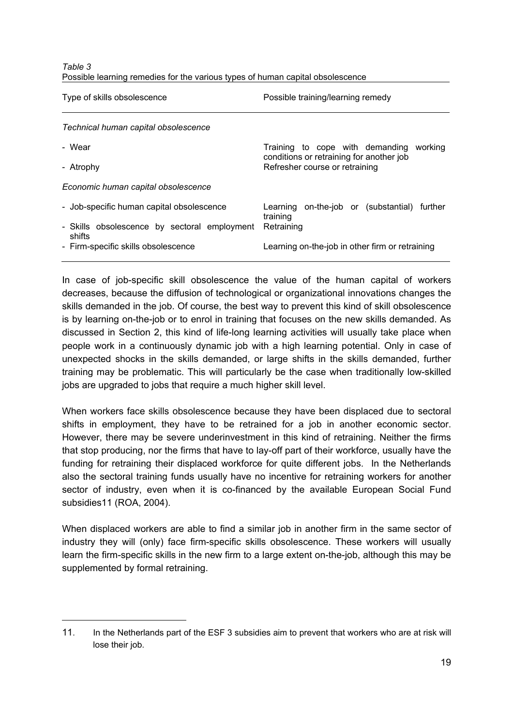| Table 3                                                                        |  |
|--------------------------------------------------------------------------------|--|
| Possible learning remedies for the various types of human capital obsolescence |  |

| Type of skills obsolescence                            | Possible training/learning remedy                                          |
|--------------------------------------------------------|----------------------------------------------------------------------------|
| Technical human capital obsolescence                   |                                                                            |
| - Wear                                                 | Training to cope with demanding<br>working                                 |
| - Atrophy                                              | conditions or retraining for another job<br>Refresher course or retraining |
| Economic human capital obsolescence                    |                                                                            |
| - Job-specific human capital obsolescence              | on-the-job or (substantial) further<br>Learning<br>training                |
| - Skills obsolescence by sectoral employment<br>shifts | Retraining                                                                 |
| - Firm-specific skills obsolescence                    | Learning on-the-job in other firm or retraining                            |

In case of job-specific skill obsolescence the value of the human capital of workers decreases, because the diffusion of technological or organizational innovations changes the skills demanded in the job. Of course, the best way to prevent this kind of skill obsolescence is by learning on-the-job or to enrol in training that focuses on the new skills demanded. As discussed in Section 2, this kind of life-long learning activities will usually take place when people work in a continuously dynamic job with a high learning potential. Only in case of unexpected shocks in the skills demanded, or large shifts in the skills demanded, further training may be problematic. This will particularly be the case when traditionally low-skilled jobs are upgraded to jobs that require a much higher skill level.

When workers face skills obsolescence because they have been displaced due to sectoral shifts in employment, they have to be retrained for a job in another economic sector. However, there may be severe underinvestment in this kind of retraining. Neither the firms that stop producing, nor the firms that have to lay-off part of their workforce, usually have the funding for retraining their displaced workforce for quite different jobs. In the Netherlands also the sectoral training funds usually have no incentive for retraining workers for another sector of industry, even when it is co-financed by the available European Social Fund subsidies11 (ROA, 2004).

When displaced workers are able to find a similar job in another firm in the same sector of industry they will (only) face firm-specific skills obsolescence. These workers will usually learn the firm-specific skills in the new firm to a large extent on-the-job, although this may be supplemented by formal retraining.

<sup>11.</sup> In the Netherlands part of the ESF 3 subsidies aim to prevent that workers who are at risk will lose their job.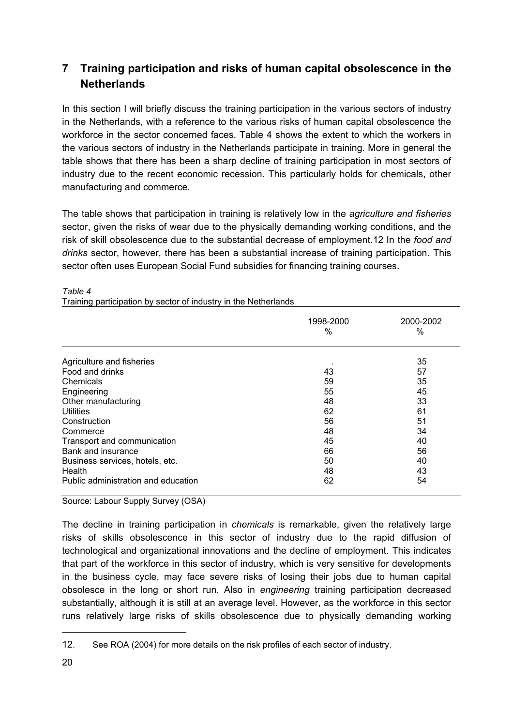## **7 Training participation and risks of human capital obsolescence in the Netherlands**

In this section I will briefly discuss the training participation in the various sectors of industry in the Netherlands, with a reference to the various risks of human capital obsolescence the workforce in the sector concerned faces. Table 4 shows the extent to which the workers in the various sectors of industry in the Netherlands participate in training. More in general the table shows that there has been a sharp decline of training participation in most sectors of industry due to the recent economic recession. This particularly holds for chemicals, other manufacturing and commerce.

The table shows that participation in training is relatively low in the *agriculture and fisheries* sector, given the risks of wear due to the physically demanding working conditions, and the risk of skill obsolescence due to the substantial decrease of employment.12 In the *food and drinks* sector, however, there has been a substantial increase of training participation. This sector often uses European Social Fund subsidies for financing training courses.

|                                     | 1998-2000<br>$\%$ | 2000-2002<br>% |
|-------------------------------------|-------------------|----------------|
|                                     |                   |                |
| Agriculture and fisheries           |                   | 35             |
| Food and drinks                     | 43                | 57             |
| Chemicals                           | 59                | 35             |
| Engineering                         | 55                | 45             |
| Other manufacturing                 | 48                | 33             |
| Utilities                           | 62                | 61             |
| Construction                        | 56                | 51             |
| Commerce                            | 48                | 34             |
| Transport and communication         | 45                | 40             |
| Bank and insurance                  | 66                | 56             |
| Business services, hotels, etc.     | 50                | 40             |
| Health                              | 48                | 43             |
| Public administration and education | 62                | 54             |

#### *Table 4*

Source: Labour Supply Survey (OSA)

Training participation by sector of industry in the Netherlands

The decline in training participation in *chemicals* is remarkable, given the relatively large risks of skills obsolescence in this sector of industry due to the rapid diffusion of technological and organizational innovations and the decline of employment. This indicates that part of the workforce in this sector of industry, which is very sensitive for developments in the business cycle, may face severe risks of losing their jobs due to human capital obsolesce in the long or short run. Also in *engineering* training participation decreased substantially, although it is still at an average level. However, as the workforce in this sector runs relatively large risks of skills obsolescence due to physically demanding working

<sup>12.</sup> See ROA (2004) for more details on the risk profiles of each sector of industry.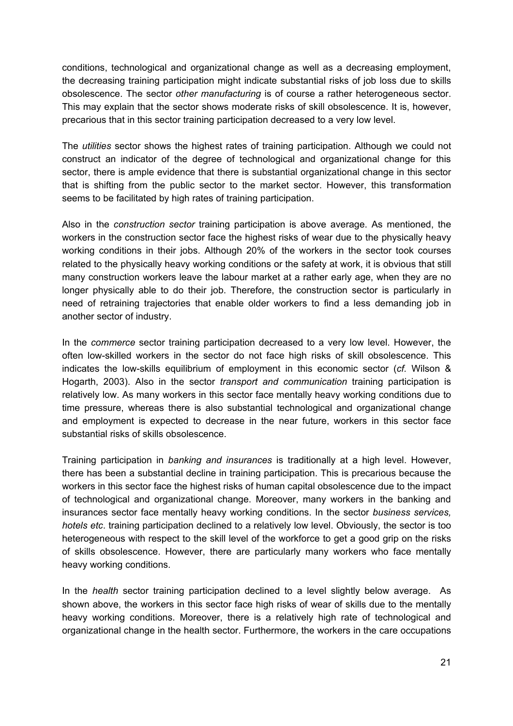conditions, technological and organizational change as well as a decreasing employment, the decreasing training participation might indicate substantial risks of job loss due to skills obsolescence. The sector *other manufacturing* is of course a rather heterogeneous sector. This may explain that the sector shows moderate risks of skill obsolescence. It is, however, precarious that in this sector training participation decreased to a very low level.

The *utilities* sector shows the highest rates of training participation. Although we could not construct an indicator of the degree of technological and organizational change for this sector, there is ample evidence that there is substantial organizational change in this sector that is shifting from the public sector to the market sector. However, this transformation seems to be facilitated by high rates of training participation.

Also in the *construction sector* training participation is above average. As mentioned, the workers in the construction sector face the highest risks of wear due to the physically heavy working conditions in their jobs. Although 20% of the workers in the sector took courses related to the physically heavy working conditions or the safety at work, it is obvious that still many construction workers leave the labour market at a rather early age, when they are no longer physically able to do their job. Therefore, the construction sector is particularly in need of retraining trajectories that enable older workers to find a less demanding job in another sector of industry.

In the *commerce* sector training participation decreased to a very low level. However, the often low-skilled workers in the sector do not face high risks of skill obsolescence. This indicates the low-skills equilibrium of employment in this economic sector (*cf.* Wilson & Hogarth, 2003). Also in the sector *transport and communication* training participation is relatively low. As many workers in this sector face mentally heavy working conditions due to time pressure, whereas there is also substantial technological and organizational change and employment is expected to decrease in the near future, workers in this sector face substantial risks of skills obsolescence.

Training participation in *banking and insurances* is traditionally at a high level. However, there has been a substantial decline in training participation. This is precarious because the workers in this sector face the highest risks of human capital obsolescence due to the impact of technological and organizational change. Moreover, many workers in the banking and insurances sector face mentally heavy working conditions. In the sector *business services, hotels etc*. training participation declined to a relatively low level. Obviously, the sector is too heterogeneous with respect to the skill level of the workforce to get a good grip on the risks of skills obsolescence. However, there are particularly many workers who face mentally heavy working conditions.

In the *health* sector training participation declined to a level slightly below average. As shown above, the workers in this sector face high risks of wear of skills due to the mentally heavy working conditions. Moreover, there is a relatively high rate of technological and organizational change in the health sector. Furthermore, the workers in the care occupations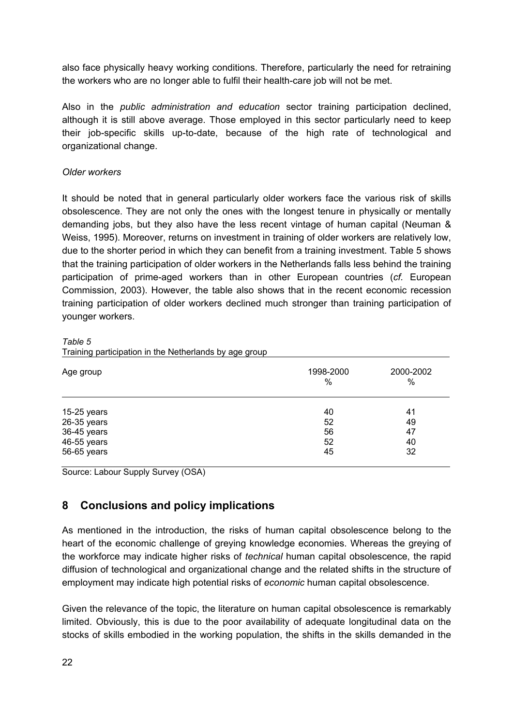also face physically heavy working conditions. Therefore, particularly the need for retraining the workers who are no longer able to fulfil their health-care job will not be met.

Also in the *public administration and education* sector training participation declined, although it is still above average. Those employed in this sector particularly need to keep their job-specific skills up-to-date, because of the high rate of technological and organizational change.

### *Older workers*

It should be noted that in general particularly older workers face the various risk of skills obsolescence. They are not only the ones with the longest tenure in physically or mentally demanding jobs, but they also have the less recent vintage of human capital (Neuman & Weiss, 1995). Moreover, returns on investment in training of older workers are relatively low, due to the shorter period in which they can benefit from a training investment. Table 5 shows that the training participation of older workers in the Netherlands falls less behind the training participation of prime-aged workers than in other European countries (*cf.* European Commission, 2003). However, the table also shows that in the recent economic recession training participation of older workers declined much stronger than training participation of younger workers.

| Age group     | 1998-2000<br>$\%$ | 2000-2002<br>% |
|---------------|-------------------|----------------|
| $15-25$ years | 40                | 41             |
| 26-35 years   | 52                | 49             |
| 36-45 years   | 56                | 47             |
| 46-55 years   | 52                | 40             |
| 56-65 years   | 45                | 32             |

*Table 5*  Training participation in the Netherlands by age group

Source: Labour Supply Survey (OSA)

## **8 Conclusions and policy implications**

As mentioned in the introduction, the risks of human capital obsolescence belong to the heart of the economic challenge of greying knowledge economies. Whereas the greying of the workforce may indicate higher risks of *technical* human capital obsolescence, the rapid diffusion of technological and organizational change and the related shifts in the structure of employment may indicate high potential risks of *economic* human capital obsolescence.

Given the relevance of the topic, the literature on human capital obsolescence is remarkably limited. Obviously, this is due to the poor availability of adequate longitudinal data on the stocks of skills embodied in the working population, the shifts in the skills demanded in the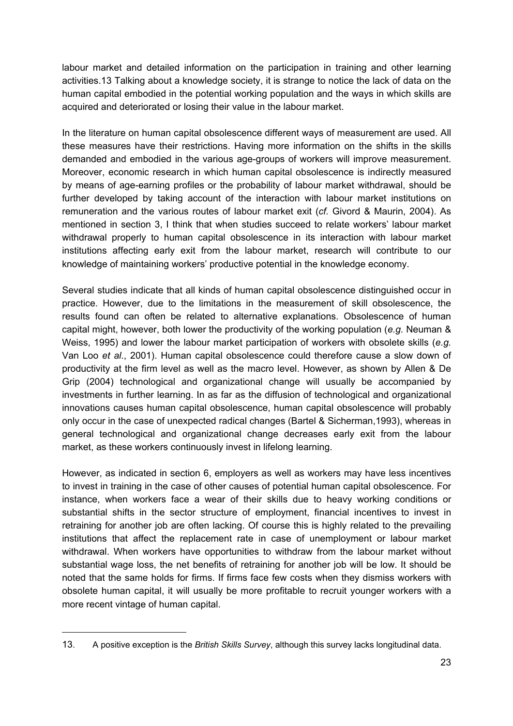labour market and detailed information on the participation in training and other learning activities.13 Talking about a knowledge society, it is strange to notice the lack of data on the human capital embodied in the potential working population and the ways in which skills are acquired and deteriorated or losing their value in the labour market.

In the literature on human capital obsolescence different ways of measurement are used. All these measures have their restrictions. Having more information on the shifts in the skills demanded and embodied in the various age-groups of workers will improve measurement. Moreover, economic research in which human capital obsolescence is indirectly measured by means of age-earning profiles or the probability of labour market withdrawal, should be further developed by taking account of the interaction with labour market institutions on remuneration and the various routes of labour market exit (*cf.* Givord & Maurin, 2004). As mentioned in section 3, I think that when studies succeed to relate workers' labour market withdrawal properly to human capital obsolescence in its interaction with labour market institutions affecting early exit from the labour market, research will contribute to our knowledge of maintaining workers' productive potential in the knowledge economy.

Several studies indicate that all kinds of human capital obsolescence distinguished occur in practice. However, due to the limitations in the measurement of skill obsolescence, the results found can often be related to alternative explanations. Obsolescence of human capital might, however, both lower the productivity of the working population (*e.g.* Neuman & Weiss, 1995) and lower the labour market participation of workers with obsolete skills (*e.g.* Van Loo *et al.*, 2001). Human capital obsolescence could therefore cause a slow down of productivity at the firm level as well as the macro level. However, as shown by Allen & De Grip (2004) technological and organizational change will usually be accompanied by investments in further learning. In as far as the diffusion of technological and organizational innovations causes human capital obsolescence, human capital obsolescence will probably only occur in the case of unexpected radical changes (Bartel & Sicherman,1993), whereas in general technological and organizational change decreases early exit from the labour market, as these workers continuously invest in lifelong learning.

However, as indicated in section 6, employers as well as workers may have less incentives to invest in training in the case of other causes of potential human capital obsolescence. For instance, when workers face a wear of their skills due to heavy working conditions or substantial shifts in the sector structure of employment, financial incentives to invest in retraining for another job are often lacking. Of course this is highly related to the prevailing institutions that affect the replacement rate in case of unemployment or labour market withdrawal. When workers have opportunities to withdraw from the labour market without substantial wage loss, the net benefits of retraining for another job will be low. It should be noted that the same holds for firms. If firms face few costs when they dismiss workers with obsolete human capital, it will usually be more profitable to recruit younger workers with a more recent vintage of human capital.

<sup>13.</sup> A positive exception is the *British Skills Survey*, although this survey lacks longitudinal data.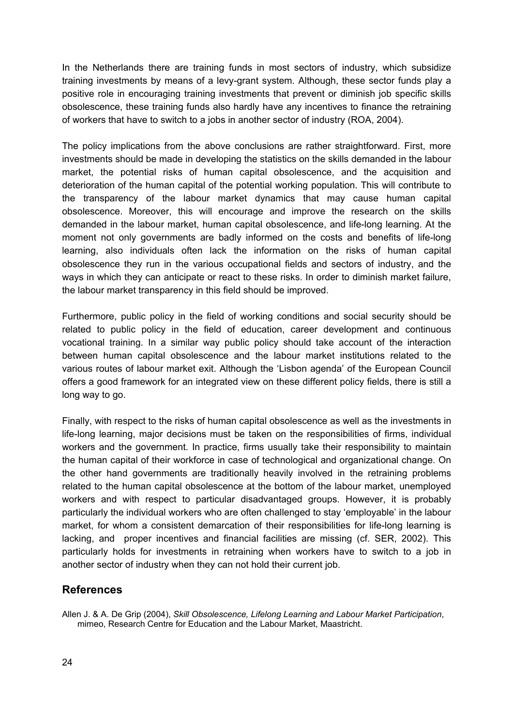In the Netherlands there are training funds in most sectors of industry, which subsidize training investments by means of a levy-grant system. Although, these sector funds play a positive role in encouraging training investments that prevent or diminish job specific skills obsolescence, these training funds also hardly have any incentives to finance the retraining of workers that have to switch to a jobs in another sector of industry (ROA, 2004).

The policy implications from the above conclusions are rather straightforward. First, more investments should be made in developing the statistics on the skills demanded in the labour market, the potential risks of human capital obsolescence, and the acquisition and deterioration of the human capital of the potential working population. This will contribute to the transparency of the labour market dynamics that may cause human capital obsolescence. Moreover, this will encourage and improve the research on the skills demanded in the labour market, human capital obsolescence, and life-long learning. At the moment not only governments are badly informed on the costs and benefits of life-long learning, also individuals often lack the information on the risks of human capital obsolescence they run in the various occupational fields and sectors of industry, and the ways in which they can anticipate or react to these risks. In order to diminish market failure, the labour market transparency in this field should be improved.

Furthermore, public policy in the field of working conditions and social security should be related to public policy in the field of education, career development and continuous vocational training. In a similar way public policy should take account of the interaction between human capital obsolescence and the labour market institutions related to the various routes of labour market exit. Although the 'Lisbon agenda' of the European Council offers a good framework for an integrated view on these different policy fields, there is still a long way to go.

Finally, with respect to the risks of human capital obsolescence as well as the investments in life-long learning, major decisions must be taken on the responsibilities of firms, individual workers and the government. In practice, firms usually take their responsibility to maintain the human capital of their workforce in case of technological and organizational change. On the other hand governments are traditionally heavily involved in the retraining problems related to the human capital obsolescence at the bottom of the labour market, unemployed workers and with respect to particular disadvantaged groups. However, it is probably particularly the individual workers who are often challenged to stay 'employable' in the labour market, for whom a consistent demarcation of their responsibilities for life-long learning is lacking, and proper incentives and financial facilities are missing (cf. SER, 2002). This particularly holds for investments in retraining when workers have to switch to a job in another sector of industry when they can not hold their current job.

### **References**

Allen J. & A. De Grip (2004), *Skill Obsolescence, Lifelong Learning and Labour Market Participation*, mimeo, Research Centre for Education and the Labour Market, Maastricht.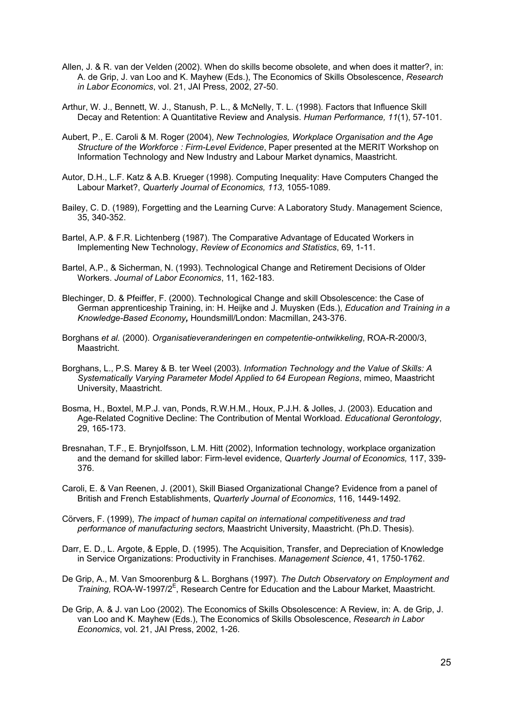- Allen, J. & R. van der Velden (2002). When do skills become obsolete, and when does it matter?, in: A. de Grip, J. van Loo and K. Mayhew (Eds.), The Economics of Skills Obsolescence, *Research in Labor Economics*, vol. 21, JAI Press, 2002, 27-50.
- Arthur, W. J., Bennett, W. J., Stanush, P. L., & McNelly, T. L. (1998). Factors that Influence Skill Decay and Retention: A Quantitative Review and Analysis. *Human Performance, 11*(1), 57-101.
- Aubert, P., E. Caroli & M. Roger (2004), *New Technologies, Workplace Organisation and the Age Structure of the Workforce : Firm-Level Evidence*, Paper presented at the MERIT Workshop on Information Technology and New Industry and Labour Market dynamics, Maastricht.
- Autor, D.H., L.F. Katz & A.B. Krueger (1998). Computing Inequality: Have Computers Changed the Labour Market?, *Quarterly Journal of Economics, 113*, 1055-1089.
- Bailey, C. D. (1989), Forgetting and the Learning Curve: A Laboratory Study. Management Science, 35, 340-352.
- Bartel, A.P. & F.R. Lichtenberg (1987). The Comparative Advantage of Educated Workers in Implementing New Technology, *Review of Economics and Statistics*, 69, 1-11.
- Bartel, A.P., & Sicherman, N. (1993). Technological Change and Retirement Decisions of Older Workers. *Journal of Labor Economics*, 11, 162-183.
- Blechinger, D. & Pfeiffer, F. (2000). Technological Change and skill Obsolescence: the Case of German apprenticeship Training, in: H. Heijke and J. Muysken (Eds.), *Education and Training in a Knowledge-Based Economy,* Houndsmill/London: Macmillan, 243-376.
- Borghans *et al.* (2000). *Organisatieveranderingen en competentie-ontwikkeling*, ROA-R-2000/3, Maastricht.
- Borghans, L., P.S. Marey & B. ter Weel (2003). *Information Technology and the Value of Skills: A Systematically Varying Parameter Model Applied to 64 European Regions*, mimeo, Maastricht University, Maastricht.
- Bosma, H., Boxtel, M.P.J. van, Ponds, R.W.H.M., Houx, P.J.H. & Jolles, J. (2003). Education and Age-Related Cognitive Decline: The Contribution of Mental Workload. *Educational Gerontology*, 29, 165-173.
- Bresnahan, T.F., E. Brynjolfsson, L.M. Hitt (2002), Information technology, workplace organization and the demand for skilled labor: Firm-level evidence, *Quarterly Journal of Economics,* 117, 339- 376.
- Caroli, E. & Van Reenen, J. (2001), Skill Biased Organizational Change? Evidence from a panel of British and French Establishments, *Quarterly Journal of Economics*, 116, 1449-1492.
- Cörvers, F. (1999), *The impact of human capital on international competitiveness and trad performance of manufacturing sectors,* Maastricht University, Maastricht. (Ph.D. Thesis).
- Darr, E. D., L. Argote, & Epple, D. (1995). The Acquisition, Transfer, and Depreciation of Knowledge in Service Organizations: Productivity in Franchises. *Management Science*, 41, 1750-1762.
- De Grip, A., M. Van Smoorenburg & L. Borghans (1997). *The Dutch Observatory on Employment and*  Training, ROA-W-1997/2<sup>E</sup>, Research Centre for Education and the Labour Market, Maastricht.
- De Grip, A. & J. van Loo (2002). The Economics of Skills Obsolescence: A Review, in: A. de Grip, J. van Loo and K. Mayhew (Eds.), The Economics of Skills Obsolescence, *Research in Labor Economics*, vol. 21, JAI Press, 2002, 1-26.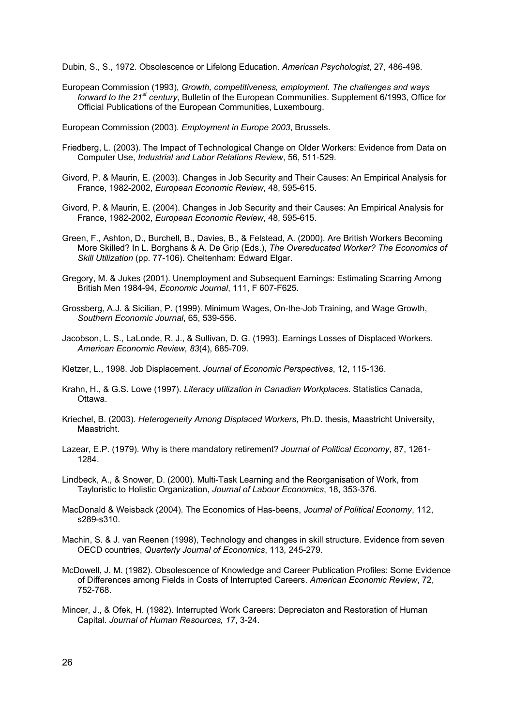Dubin, S., S., 1972. Obsolescence or Lifelong Education. *American Psychologist*, 27, 486-498.

European Commission (1993), *Growth, competitiveness, employment. The challenges and ways forward to the 21st century*, Bulletin of the European Communities. Supplement 6/1993, Office for Official Publications of the European Communities, Luxembourg.

European Commission (2003). *Employment in Europe 2003*, Brussels.

- Friedberg, L. (2003). The Impact of Technological Change on Older Workers: Evidence from Data on Computer Use, *Industrial and Labor Relations Review*, 56, 511-529.
- Givord, P. & Maurin, E. (2003). Changes in Job Security and Their Causes: An Empirical Analysis for France, 1982-2002, *European Economic Review*, 48, 595-615.
- Givord, P. & Maurin, E. (2004). Changes in Job Security and their Causes: An Empirical Analysis for France, 1982-2002, *European Economic Review*, 48, 595-615.
- Green, F., Ashton, D., Burchell, B., Davies, B., & Felstead, A. (2000). Are British Workers Becoming More Skilled? In L. Borghans & A. De Grip (Eds.), *The Overeducated Worker? The Economics of Skill Utilization* (pp. 77-106). Cheltenham: Edward Elgar.
- Gregory, M. & Jukes (2001). Unemployment and Subsequent Earnings: Estimating Scarring Among British Men 1984-94, *Economic Journal*, 111, F 607-F625.
- Grossberg, A.J. & Sicilian, P. (1999). Minimum Wages, On-the-Job Training, and Wage Growth, *Southern Economic Journal*, 65, 539-556.
- Jacobson, L. S., LaLonde, R. J., & Sullivan, D. G. (1993). Earnings Losses of Displaced Workers. *American Economic Review, 83*(4), 685-709.
- Kletzer, L., 1998. Job Displacement. *Journal of Economic Perspectives*, 12, 115-136.
- Krahn, H., & G.S. Lowe (1997). *Literacy utilization in Canadian Workplaces*. Statistics Canada, Ottawa.
- Kriechel, B. (2003). *Heterogeneity Among Displaced Workers*, Ph.D. thesis, Maastricht University, Maastricht.
- Lazear, E.P. (1979). Why is there mandatory retirement? *Journal of Political Economy*, 87, 1261- 1284.
- Lindbeck, A., & Snower, D. (2000). Multi-Task Learning and the Reorganisation of Work, from Tayloristic to Holistic Organization, *Journal of Labour Economics*, 18, 353-376.
- MacDonald & Weisback (2004). The Economics of Has-beens, *Journal of Political Economy*, 112, s289-s310.
- Machin, S. & J. van Reenen (1998), Technology and changes in skill structure. Evidence from seven OECD countries, *Quarterly Journal of Economics*, 113*,* 245-279.
- McDowell, J. M. (1982). Obsolescence of Knowledge and Career Publication Profiles: Some Evidence of Differences among Fields in Costs of Interrupted Careers. *American Economic Review*, 72, 752-768.
- Mincer, J., & Ofek, H. (1982). Interrupted Work Careers: Depreciaton and Restoration of Human Capital. *Journal of Human Resources, 17*, 3-24.